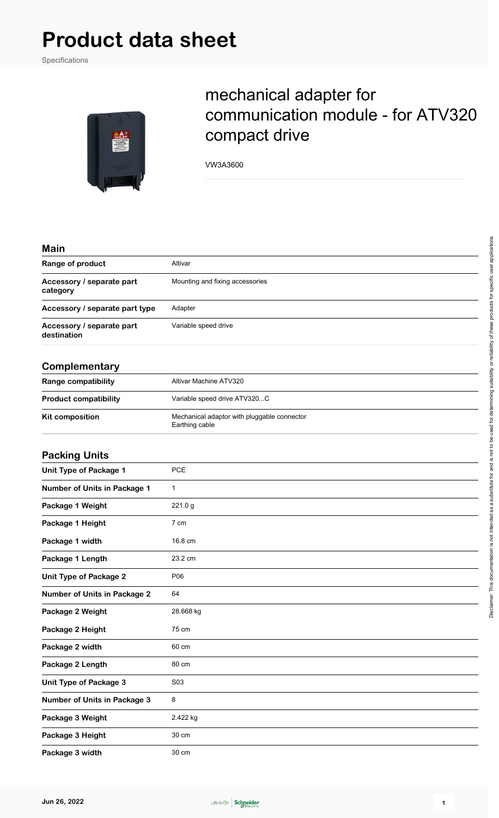## **Product data sheet**

Specifications



## mechanical adapter for communication module - for ATV320 compact drive

VW3A3600

| × | ı<br>L<br>۰. |  |
|---|--------------|--|
|   |              |  |

| Range of product                         | Altivar<br>Mounting and fixing accessories |  |
|------------------------------------------|--------------------------------------------|--|
| Accessory / separate part<br>category    |                                            |  |
| Accessory / separate part type           | Adapter                                    |  |
| Accessory / separate part<br>destination | Variable speed drive                       |  |
|                                          |                                            |  |

## **Complementary**

| Range compatibility          | Altivar Machine ATV320                                        |
|------------------------------|---------------------------------------------------------------|
| <b>Product compatibility</b> | Variable speed drive ATV320C                                  |
| <b>Kit composition</b>       | Mechanical adaptor with pluggable connector<br>Earthing cable |

## **Packing Units**

| <b>Unit Type of Package 1</b>       | <b>PCE</b>  |
|-------------------------------------|-------------|
| Number of Units in Package 1        | $\mathbf 1$ |
| Package 1 Weight                    | 221.0 g     |
| Package 1 Height                    | 7 cm        |
| Package 1 width                     | 16.8 cm     |
| Package 1 Length                    | 23.2 cm     |
| <b>Unit Type of Package 2</b>       | P06         |
| <b>Number of Units in Package 2</b> | 64          |
| Package 2 Weight                    | 28.668 kg   |
| Package 2 Height                    | 75 cm       |
| Package 2 width                     | 60 cm       |
| Package 2 Length                    | 80 cm       |
| <b>Unit Type of Package 3</b>       | S03         |
| <b>Number of Units in Package 3</b> | 8           |
| Package 3 Weight                    | 2.422 kg    |
| Package 3 Height                    | 30 cm       |
| Package 3 width                     | 30 cm       |